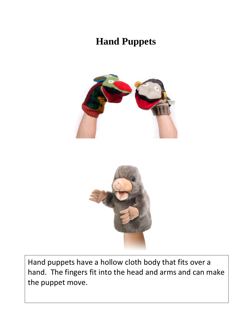## **Hand Puppets**





Hand puppets have a hollow cloth body that fits over a hand. The fingers fit into the head and arms and can make the puppet move.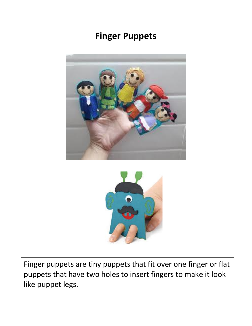#### **Finger Puppets**





Finger puppets are tiny puppets that fit over one finger or flat puppets that have two holes to insert fingers to make it look like puppet legs.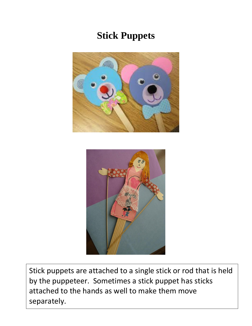# **Stick Puppets**





Stick puppets are attached to a single stick or rod that is held by the puppeteer. Sometimes a stick puppet has sticks attached to the hands as well to make them move separately.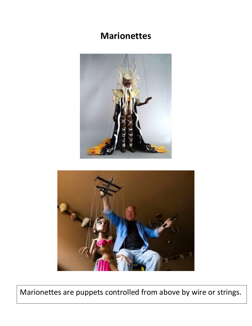#### **Marionettes**





Marionettes are puppets controlled from above by wire or strings.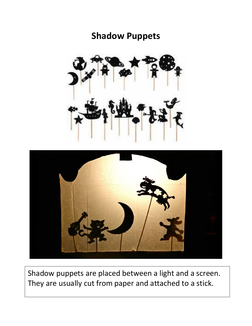#### **Shadow Puppets**





Shadow puppets are placed between a light and a screen. They are usually cut from paper and attached to a stick.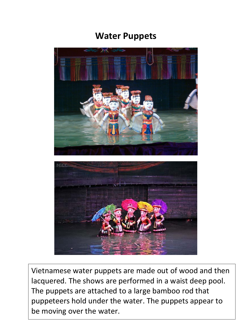#### **Water Puppets**



Vietnamese water puppets are made out of wood and then lacquered. The shows are performed in a waist deep pool. The puppets are attached to a large bamboo rod that puppeteers hold under the water. The puppets appear to be moving over the water.